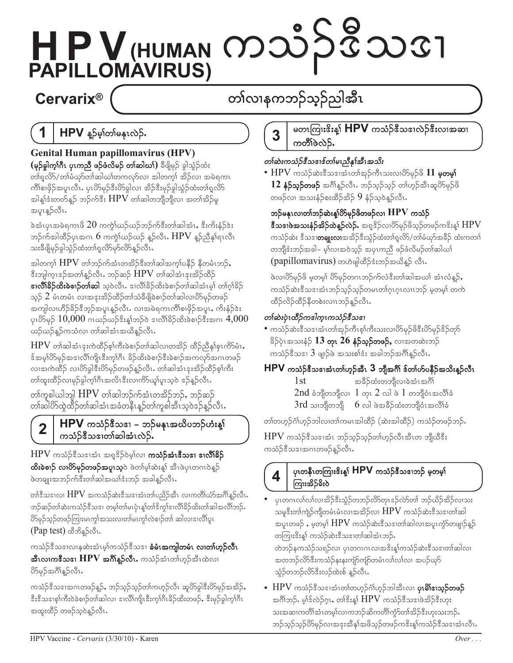# HPV (HUMAN MOJS 582031

## **Cervarix®**

# တၢ်လၢနကဘဉ်သုဉ်ညါအီၤ

#### 1 HPV နူဉ်မှါတါမနုၤလဲဉ်.

**Genital Human papillomavirus (HPV)** (မှ**်ခွါက့ၢ်ဂီၤ ပုၤကညီ ဖဉ်ဖံလိမဉ် တၢ်ဆါဃၢ်)** ခီဖျိမှဉ် ခွါသွံဉ်ထံး တၢ်ရှုလိ $5/$ တၢ်မံဃှာ်တၢ်ဆါဃၢ်တကလှာ်လၢ အါတက္န၊် အိဉ်လ၊ အမဲရကၤ ကိၢိစၢဖိုဉ်အပူၤလီၤႉ ပုၤပိ>်မှဉ်ဒီးပိ>်ခွါလၢ အိဉ်ဒီးမှဉ်ခွါသွံဉ်ထံးတၢ်ရှလိ>် အါန့ါ်ဒီးတတ်နူဉ် ဘဉ်က်ဒီး  $\rm{HPV}$  တါဆါတဘျိဘျိလ၊ အတါအိဉ်မူ အပူၤန္βလီၤ.

ခဲအံၤပုၤအမဲရကၤဖိ  $20$  ကကွဲ $\mathrm{i}$ ယဉ်ယဉ်ဘဉ်က်ဒီးတၢ်ဆါအံၤ $\mathrm{,}$  ဒီးကိ $\mathrm{i}$ န်ဉ် $\mathrm{a}\mathrm{:}$ ဘဉ်က်အါထိဉ်ပုၤအဂၤ  $6$  ကကွဲ $\mathrm{f}$ ဃဉ်ဃဉ် နူဉ်လီၤ $\mathrm{HPV}$  နူဉ်ညီနှ $\mathrm{f}$ ရၤလီၤ သးခ်ီဖျိမှဉ်ခွါသွံဉ်ထံးတၢ်ရှုလိ5်မှ5်လိ5်နူဉ်လီၤ.

အါတက္၊် ${\rm HPV}$  တၢဴဘဉ်က်အံၤတအိဉ် $\stackrel{2}{\scriptstyle3}$ းတၢဴဆါအက္၊်ပနီဉ် နီတမံၤဘဉ်, ဒီးဘျါက္ၤဒဉ်အတၢိန္ဉာ်လီၤ. ဘဉ်ဆဉ်  ${\rm HPV}$  တၢ်ဆါအံၤဒုးအိဉ်ထိဉ် **ဒၢလိၢိခိဉ်ထိးခဲစၢဉ်တၢ်ဆါ** သူဝဲလီၤႉ ဒၢလိ၊ိခိဉ်ထိးခဲစၢဉ်တၢ်ဆါအံၤမ္၊် တၢ်ဂ္ဂါခိဉ် သူဉ်  $2$  မံၤတမံၤ လၢအဒုးအိဉ်ထိဉ်တၢ်သံခီဖျိခဲစၢဉ်တၢ်ဆါလၢပိာ်မှဉ်တဖဉ် အကျါလ၊ဟိဉ်ခိဉ်ဒီဘ့ဉ်အပူၤန္နဉ်လီၤႉ လၢအမဲရကၤကိၢိစၢဖိုဉ်အပူၤႇ ကိႏနံ့ဉ်ဒဲႏ ပုၤ $85$ မှ $5\ 10,000$  ဂၤဃဉ်ဃဉ် $3$ းနှ့ $5$ ဘဉ်ဝဲ ဒၢလိ $18$ ဉ်ထိးခဲစၢဉ် $3$ းအဂၤ $4,000$ ယဉ်ယဉ်နူဉ်ကသံလၢ တၢ်ဆါအံၤအယိနူဉ်လီၤႉ

 ${\rm HPV}$  တၢ်ဆါအံၤဒုးကဲထိဉ်စ္၊်ကီးခဲစၢဉ်တ၊်ဆါလ၊တအိဉ် ထိဉ်ညီနှ၊်စုၤကိဉ်မံၤ $,$ န်အမ္နပ်ိတ်မှဉ်အဒၢလိၢကျိုးဒီးက္နှံဂြီး ခိဉ်ထိးခဲ့စျဉ်ဒီးခဲ့စျဉ်အကလှာ်အဂၤတဖဉ် လ၊အကဲထိဉ် လ၊ပိ>်ခွါဒီးပိ>်မှဉ်တဖဉ်နူဉ်လီၤႉ တၢ်ဆါအံၤဒုးအိဉ်ထိဉ်စ့ၢ်ကီး တၢ်ထူးထိဉ်လၢမှဉ်ခွါက့ၢ်ဂိၤအလိၤဒီးလၢကိဉ်ယှၢ်ပူၤသ္ဝဲ ဒဉ်နူဉ်လီၤႉ

တၢ်ကူစါယါဘူါ  ${\rm HPV}$  တၢ်ဆါဘဉ်က်အံၤတအိဉ်ဘဉ်, ဘဉ်ဆဉ် တၢ်ဆါပိ>်ထဲ့ထိဉ်တၢ်ဆါအံၤအခံတန်ိၤနဉ်တၢ်ကူစါအီၤသ္ဝဲဒဉ်နဉ်လီၤ

#### HPV ကသံဉ်<sup>နွ</sup>ံသၖၢ – ဘဉ်မနုၤအယိပဘဉ်ဟံးန္<sup>1</sup>  $\overline{\mathbf{2}}$ ကသံဉ်ဒီသဒၢတၢ်ဆါအံၤလဲဉ်.

 $\rm{HPV}$  ကသံဉ် $\scriptstyle\rm{{}^3}$ သဒၢအံၤ အရှ $\scriptstyle\rm{{}^3}$ ဉ်ဝဲမ့ $\scriptstyle\rm{[ov]}$  **ကသံဉ်အံၤ** $\scriptstyle\rm{{}^3}$ **သဒၢ ဒၢလိ** $\scriptstyle\rm{{}^3}$ **ဉ် ထိးခဲစၢဉ် လၢိတ်မှဉ်တဖဉ်အပူးသူ**ဝဲ ဖဲတ၊်မ့္ပ်ဆဲးန္<sup>န</sup> အီၤဖဲပုၤတဂၤဝဲန္<sup>ဌ</sup> ဖဲတချုးအဘဉ်က်ဒီးတၢ်ဆါအယၢ်ဒံးဘဉ် အခါနူဉ်လီၤႉ

တါဒီသဒၢလ၊  $\operatorname{HPV}$  အကသံဉ်ဆဲးဒီသဒၢအံၤတၢ်ပညိဉ်အီၤ လၢကတိၢ်ယံာ်အင်္ဂါနူဉ်လီၤ $\cdot$ ဘဉ်ဆဉ်တ၊်ဆဲးကသံဉ်ဒီသဒၢ တမ့ၢ်တ၊်မၤပုဲၤန္၊်တၢ်ဒိက္ဂါဒၢလိ၊်ခိဉ်ထိးတ၊်ဆါအလိၢ်ဘဉ်ႉ ပိ>်မှဉ်သ့ဉ်တဖဉ်ကြားမၤကွၢ်အသးလၢတၢ်မၤကွၢ်လဲစၢဉ်တၢ် ဆါလၢဒၢလိၢ်ပူၤ (Pap test) ထိတိန္နာ်လီး.

ကသံဉ်<sup>8ွ</sup>သဒၢလၢနဆဲးအံၤမ့္ပ်ကသံဉ်ဒီသဒၢ **ခံမံၤအကျါတမံၤ လၢတၢ်ဟူဉ်လီၤ အီၤလၢကဒီသဒၢ**  ${\rm HPV}$  **အင်္ဂါနူဉ်လီၤ.** ကသံဉ်အံၤတၢ်ဟုဉ်အီၤထဲလၢ ပိ>်မှဉ်အဂ်ိါန္ ဉ်လီၤ.

ကသံဉ်ဒီသဒၢအဂၤတဖဉ်နူဉ်, ဘဉ်သုဉ်သုဉ်တၢ်ကဟုဉ်လီၤ ဆူပိ>်ခွါဒီးပိ>်မှဉ်အအိဉ်, နီးနီသဒၢစ္၊်ကီးဝဲခဲ့စၢဉ်တၢ်ဆါလ၊ ဒၢလိၢ်ကျိၤနီးက္နုပ္ပံုဝိုးခဲ့ဥတဲ့လမာ်, နီးမှဉ်ခွါက္နုပ္ပံု အထူးထိဉ် တဖဉ်သူဝဲန္နဉ်လီၤ.

#### မတၤကြၢးၓိးန္၊် HPV ကသံဉ်နီသဒၢလဲဉ်နီးလၢအဆၢ 3 ကတိ်ါဖဲလဲဉ်.

## တၢ်ဆဲးကသံဉ်ဇီသဒၢဇ်တၢ်မၤညီနှၤ်အီၤအသိး

 $\bullet$   ${\rm HPV}$  ကသံဉ်ဆဲးဒီသဒၢအံၤတၢ်အုဉ်ကီၤသးလၢပိဉ်မှဉ်ဖိ  $11$  မှုတမှု $\,$  $12$  နံဉ်သူဉ်တဖဉ် အင်္ဂါနူဉ်လီၤ $\cdot$  ဘဉ်သူဉ်သူဉ် တၢ်ဟူဉ်အီၤဆူပိဉ်မှဉ်ဖိ တဖဉ်လ၊ အသးနံ့ဉ်စးထိဉ်အိဉ်  $9$  နံ့ဉ်သူဝဲန္ဥာလီၤ.

## ဘဉ်မနုၤလၢတၢ်ဘဉ်ဆဲးန္ $^{66}_{10}$ တ်မှဉ်ဖိတဖဉ်လၢ $\rm~HPV$  ကသံဉ်

**ဒီသဒၢဖဲအသးနံဉ်အိဉ်ထဲန္နာ်လဲှ်.** အရှုဒိဉ်လ၊ပိဉ်မှဉ်ဖိသ္ဉ်တဖဉ်ကဒိးန္§် $\operatorname{HPV}$ ကသံဉ်ဆဲး <sup>စွ</sup>ိသစ္**၊တချူးလ၊**အအိဉ်ဒီးသွံဉ်ထံးတၢ်ရှလိ5/တၢ်မံယှာ်အခိဉ် ထံးကတၢၢ် တဘျိုးံးဘဉ်အခါ– မ့္ပ်လၢအဝဲသ္၌ အပုၤကညီ ဖဉ်ဖံလိမဉ်တ္ပါဆါယ္ပါ (papillomavirus) တဟဲဖျါထိဉ်ဒီးဘဉ်အယိန္ဝ် လီၤ.

ဖဲလ၊ပိဉ်မှဉ်ဖိ မဲ့တမ္ပါ ပိဉ်မှဉ်တဂၤဘဉ်က်လံဒီးတါဆါအယါ အံၤလံန္နဉ်, ကသံဉ်ဆဲးဒီသဒၢအံၤဘဉ်သ့ဉ်သ့ဉ်တမၤတၢ်ဂူၤဂူၤလၢၤဘဉ် မှတမ့ၢ် တကဲ ထိဉ်လိဉ်ထိဉ်နီတစဲးလၢၤဘဉ်န္ဉာလီၤႉ

## တစ်ဆဲးပုံၤထိိဉ်ကဒါကူးကသံဉ်ဇီသဒၢ

• ကသံဉ်ဆဲးဒီသဒၢအံၤတၢ်အုဉ်ကီၤစ္၊်ကီးသးလၢပိ>်မှဉ်ဖိဒီးပိ>်မှဉ်ဒိဉ်တုာ် ခိဉ်ပုံၤအသးနံ့ဉ်  $13$  တုၤ $26$  နံဉ်သူဉ်တဖဉ်, လၢအတဆဲးဘဉ် ကသံဉ် $\mathring{\mathcal{S}}$ သ $\mathfrak{m}$   $\mathfrak{Z}$  ဖျာဉ်ဖဲ အသးစါဒံး အခါဘဉ်အဂိါန္ဉါလီၤ $\mathfrak{r}$ 

## $HPV$  ကင်္သာဒီသဒၢအံၤတ္ပ္ပ်က္ခ်ာအီး  $3$  ဘျီအဂ်ီ၊ ဒ်တ္ပ်ဟ်ပနီဉ်အသိးန္နာ်လီၤ

1st အခ်ိဳဉ်ထံးတဘျိလၢခဲအံၤအဂ်ိါ 2nd ခံဘျိတဘျိလ $1$  တုၤ $2$  လါ ဖဲ $1$  တဘျိပံၤအလိၢ်ခံ  $3$ rd သၢဘိုတဘိုု  $6$  လါ ဖဲအခ်ိဉ်ထံးတဘိုုဝံၤအလိၢ်ခံ

တၢ်တဟ္ဥ်ာဂ်္ဂဟ္ဥ်ဘါလ၊တၢ်ကမၤအါထိဉ် (ဆဲးအါထိဉ်) ကသံဉ်တဖဉ်ဘဉ်.

 $HPV$  ကသံဉ်ဒီသဒၢအံၤ ဘဉ်သူဉ်သူဉ်တါဟုဉ်လီၤအီၤတ ဘျိယီဒီး ကသံဉ်ဒီသဒၢအဂၤတဖဉ်နူဉ်လီၤႉ



#### ပုၤတနီၤတကြၢးၓိးန္၊် HPV ကသံဉ်ဒီသဒၢဘဉ် မှတမှ၊် ကြားအိ>်ခ်ိဳးဝဲ

ပုၤတဂၤလၢ်လၢလ၊အိဉ်ဒီးသွံဉ်တဘဉ်လိာ်တုၤဒဉ်လဲာ်တၢ် ဘဉ်ယိဉ်အိဉ်လ၊သး သမုဒိးတၢ်ကျဲဉ်ကျိတမံၤမံၤလၢအအိဉ်လၢ  $\rm{HPV}$  ကသံဉ်ဆဲးဒီသဒၢတၢ်ဆါ အပူၤတဖဉ် ,မှတမ့ $\mathop{\rm HPV}\nolimits$  ကသံဉ်ဆဲးဒီသဒၢတၢ်ဆါလၢအပူၤကွံာ်တဖျာဉ်နူဉ် တကြၤးဒိးန္၊် ကသံဉ်ဆဲးဒီသဒၢတၢ်ဆါအံၤဘဉ်.

တဲဘဉ်နကသံဉ်သရဉ်လ၊ ပုၤတဂၤဂၤလၢအဒိးန္၊ါကသံဉ်ဆဲးဒီသဒၢတၢ်ဆါလ၊ အတဘဉ်လိ5်ဒီးကသံဉ်နးနးကျံာ်ကျံာ်တမံၤလၢ်လၢလာ၊ အပဉ်ယှာ် သံ့ဉ်တဘဉ်လိ5်ဒီးလဉ်ထဲးစ် နူဉ်လီၤႉ

• HPV ကသံဉ်ဒီသဒၢအံၤတၢ်တဟုဉ်ဂံၢ်ဟုဉ်ဘါအီၤလ၊ **ပုၤမိၢိဒၢသုဉ်တဖဉ်** အင်္ဂါဘဉ်. မ့ $\delta$ ဒ်လဲဉ်ဂူး, တ $\delta$ န်းနှ $\delta$   ${\rm HPV}$  ကသံဉ် $\delta$ သ $\delta$ ၊ဖဲအိဉ် $\delta$ းဟုး သးအဆၢကတိၢိအံၤတမ့ၢ်လၢကဘဉ်ဆိကတိၢ်ကွဲာ်တၢ်အိဉ်ဒီးဟုးသးဘဉ်ႉ ဘဉ်သူဉ်သူဉ်ပိဉ်မှဉ်လၢအဒုးအိနှၤ်အဖိသူဉ်တဖဉ်ကဒိးနှ့ၤ်ကသံဉ်ဒီသဒၢအံၤလီၤ.